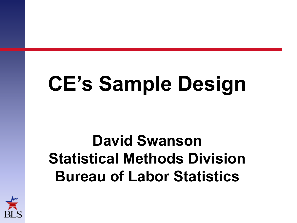# **CE's Sample Design**

# **David Swanson Statistical Methods Division Bureau of Labor Statistics**

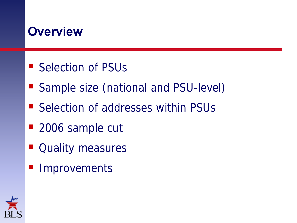## **Overview**

- Selection of PSUs
- Sample size (national and PSU-level)
- Selection of addresses within PSUs
- 2006 sample cut
- **Quality measures**
- **Improvements**

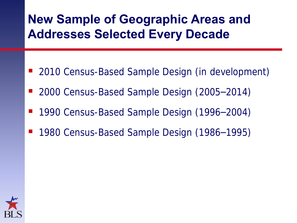## **New Sample of Geographic Areas and Addresses Selected Every Decade**

- 2010 Census-Based Sample Design (in development)
- 2000 Census-Based Sample Design (2005–2014)
- 1990 Census-Based Sample Design (1996–2004)
- 1980 Census-Based Sample Design (1986–1995)

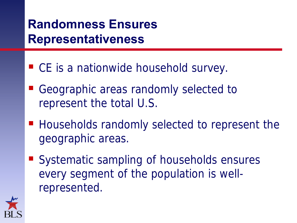# **Randomness Ensures Representativeness**

- CE is a nationwide household survey.
- Geographic areas randomly selected to represent the total U.S.
- Households randomly selected to represent the geographic areas.
- Systematic sampling of households ensures every segment of the population is wellrepresented.

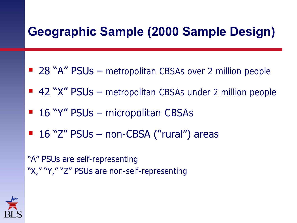## **Geographic Sample (2000 Sample Design)**

- 28 "A" PSUs metropolitan CBSAs over 2 million people
- $\blacksquare$  42 "X" PSUs metropolitan CBSAs under 2 million people
- $\blacksquare$  16 "Y" PSUs micropolitan CBSAs
- $\blacksquare$  16 "Z" PSUs non-CBSA ("rural") areas

"A" PSUs are self-representing "X," "Y," "Z" PSUs are non-self-representing

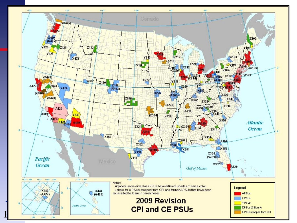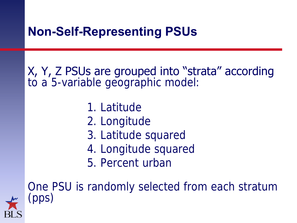## **Non-Self-Representing PSUs**

X, Y, Z PSUs are grouped into "strata" according to a 5-variable geographic model:

- 1. Latitude
- 2. Longitude
- 3. Latitude squared
- 4. Longitude squared
- 5. Percent urban

One PSU is randomly selected from each stratum (pps)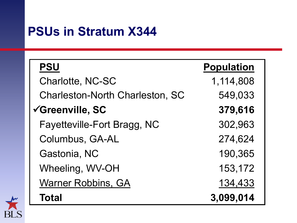## **PSUs in Stratum X344**

| <b>PSU</b>                             | <b>Population</b> |
|----------------------------------------|-------------------|
| <b>Charlotte, NC-SC</b>                | 1,114,808         |
| <b>Charleston-North Charleston, SC</b> | 549,033           |
| √Greenville, SC                        | 379,616           |
| Fayetteville-Fort Bragg, NC            | 302,963           |
| Columbus, GA-AL                        | 274,624           |
| Gastonia, NC                           | 190,365           |
| Wheeling, WV-OH                        | 153,172           |
| <b>Warner Robbins, GA</b>              | 134,433           |
| <b>Total</b>                           | 3,099,014         |

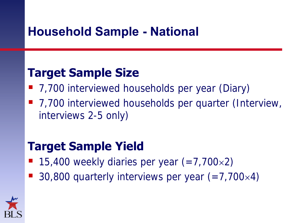## **Household Sample - National**

## **Target Sample Size**

- 7,700 interviewed households per year (Diary)
- 7,700 interviewed households per quarter (Interview, interviews 2-5 only)

## **Target Sample Yield**

- 15,400 weekly diaries per year  $(=7,700\times 2)$
- 30,800 quarterly interviews per year  $(=7,700\times4)$

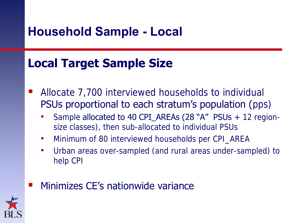## **Household Sample - Local**

## **Local Target Sample Size**

- Allocate 7,700 interviewed households to individual PSUs proportional to each stratum's population (pps)
	- Sample **allocated to 40 CPI\_AREAs (28 "A" PSUs**  $+$  12 regionsize classes), then sub-allocated to individual PSUs
	- Minimum of 80 interviewed households per CPI\_AREA
	- Urban areas over-sampled (and rural areas under-sampled) to help CPI
- Minimizes CE"s nationwide variance

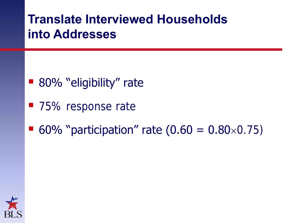## **Translate Interviewed Households into Addresses**

- 80% "eligibility" rate
- 75% response rate
- 60% "participation" rate  $(0.60 = 0.80 \times 0.75)$

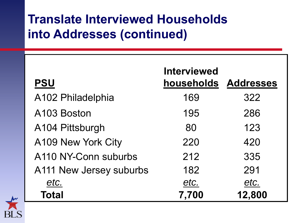## **Translate Interviewed Households into Addresses (continued)**

| <b>PSU</b>              | <b>Interviewed</b><br>households Addresses |        |
|-------------------------|--------------------------------------------|--------|
| A102 Philadelphia       | 169                                        | 322    |
| A103 Boston             | 195                                        | 286    |
| A104 Pittsburgh         | 80                                         | 123    |
| A109 New York City      | 220                                        | 420    |
| A110 NY-Conn suburbs    | 212                                        | 335    |
| A111 New Jersey suburbs | 182                                        | 291    |
| etc.                    | etc.                                       | etc.   |
| Total                   | 7,700                                      | 12,800 |

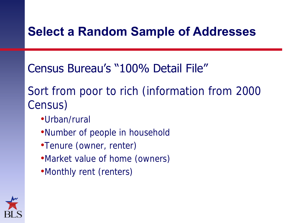## **Select a Random Sample of Addresses**

## Census Bureau"s "100% Detail File"

## Sort from poor to rich (information from 2000 Census)

- •Urban/rural
- •Number of people in household
- •Tenure (owner, renter)
- •Market value of home (owners)
- •Monthly rent (renters)

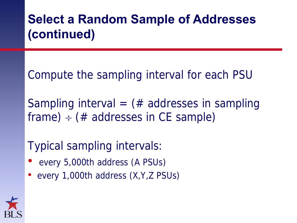# **Select a Random Sample of Addresses (continued)**

Compute the sampling interval for each PSU

Sampling interval =  $#$  addresses in sampling frame)  $\div$  (# addresses in CE sample)

Typical sampling intervals:

- every 5,000th address (A PSUs)
- every 1,000th address (X, Y, Z PSUs)

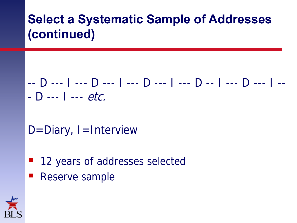# **Select a Systematic Sample of Addresses (continued)**

## -- D --- I --- D --- I --- D --- I --- D -- I --- D --- I --  $-$  D --- I ---  $etc.$

## $D =$ Diary, I = Interview

- 12 years of addresses selected
- Reserve sample

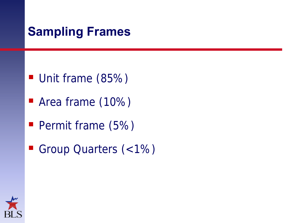## **Sampling Frames**

- Unit frame (85%)
- **Area frame (10%)**
- Permit frame (5%)
- Group Quarters (<1%)

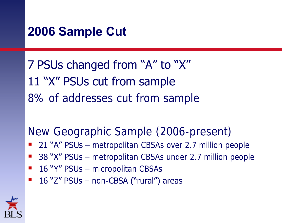## **2006 Sample Cut**

7 PSUs changed from "A" to "X" 11 "X" PSUs cut from sample 8% of addresses cut from sample

New Geographic Sample (2006-present)

- 21 "A" PSUs metropolitan CBSAs over 2.7 million people
- 38 "X" PSUs metropolitan CBSAs under 2.7 million people
- **16 "Y" PSUs micropolitan CBSAs**
- $\blacksquare$  16 "Z" PSUs non-CBSA ("rural") areas

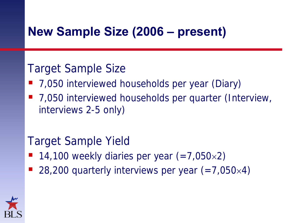## **New Sample Size (2006 – present)**

#### Target Sample Size

- 7,050 interviewed households per year (Diary)
- 7,050 interviewed households per quarter (Interview, interviews 2-5 only)

#### Target Sample Yield

- $\blacksquare$  14,100 weekly diaries per year (=7,050×2)
- 28,200 quarterly interviews per year  $(=7,050\times4)$

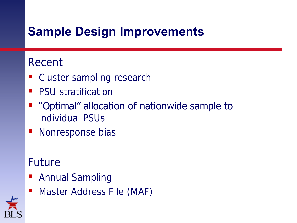## **Sample Design Improvements**

#### Recent

- Cluster sampling research
- PSU stratification
- "Optimal" allocation of nationwide sample to individual PSUs
- Nonresponse bias

## Future

- **Annual Sampling**
- **Master Address File (MAF)**

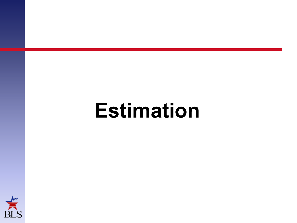# **Estimation**

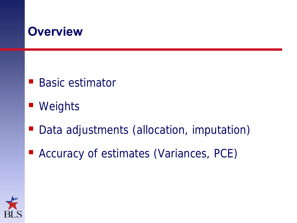## **Overview**

- Basic estimator
- Weights
- Data adjustments (allocation, imputation)
- Accuracy of estimates (Variances, PCE)

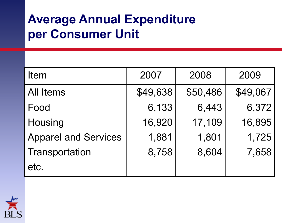## **Average Annual Expenditure per Consumer Unit**

| <b>Item</b>                 | 2007     | 2008     | 2009     |  |
|-----------------------------|----------|----------|----------|--|
| <b>All Items</b>            | \$49,638 | \$50,486 | \$49,067 |  |
| Food                        | 6,133    | 6,443    | 6,372    |  |
| Housing                     | 16,920   | 17,109   | 16,895   |  |
| <b>Apparel and Services</b> | 1,881    | 1,801    | 1,725    |  |
| Transportation              | 8,758    | 8,604    | 7,658    |  |
| etc.                        |          |          |          |  |

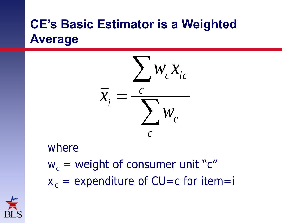# **CE's Basic Estimator is a Weighted Average**



#### where

 $w_c$  = weight of consumer unit "c"  $x_{ic}$  = expenditure of CU=c for item=i

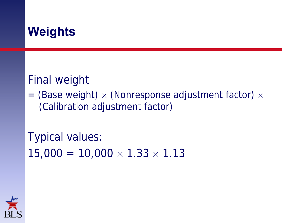## **Weights**

#### Final weight

= (Base weight)  $\times$  (Nonresponse adjustment factor)  $\times$ (Calibration adjustment factor)

Typical values:  $15,000 = 10,000 \times 1.33 \times 1.13$ 

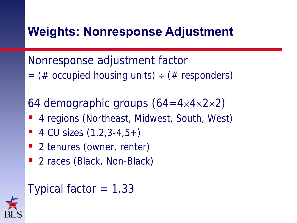## **Weights: Nonresponse Adjustment**

Nonresponse adjustment factor = (# occupied housing units)  $\div$  (# responders)

64 demographic groups  $(64 = 4 \times 4 \times 2 \times 2)$ 

- 4 regions (Northeast, Midwest, South, West)
- $\blacksquare$  4 CU sizes  $(1, 2, 3 4, 5 +)$
- 2 tenures (owner, renter)
- 2 races (Black, Non-Black)

### Typical factor  $= 1.33$

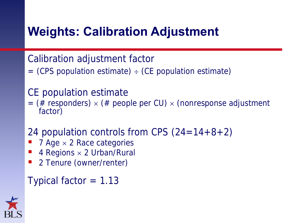## **Weights: Calibration Adjustment**

Calibration adjustment factor

 $=$  (CPS population estimate)  $\div$  (CE population estimate)

#### CE population estimate

- = (# responders)  $\times$  (# people per CU)  $\times$  (nonresponse adjustment factor)
- 24 population controls from CPS  $(24=14+8+2)$
- $7$  Age  $\times$  2 Race categories
- 4 Regions × 2 Urban/Rural
- 2 Tenure (owner/renter)

Typical factor  $= 1.13$ 

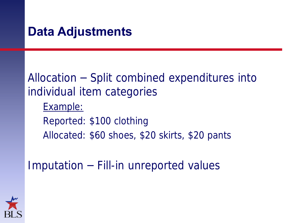### **Data Adjustments**

## Allocation – Split combined expenditures into individual item categories

- Example:
- Reported: \$100 clothing Allocated: \$60 shoes, \$20 skirts, \$20 pants

Imputation – Fill-in unreported values

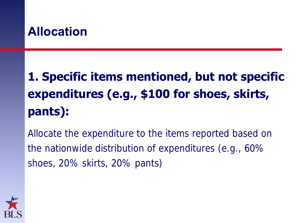## **Allocation**

# **1. Specific items mentioned, but not specific expenditures (e.g., \$100 for shoes, skirts, pants):**

Allocate the expenditure to the items reported based on the nationwide distribution of expenditures (e.g., 60% shoes, 20% skirts, 20% pants)

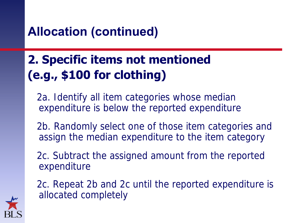## **Allocation (continued)**

# **2. Specific items not mentioned (e.g., \$100 for clothing)**

2a. Identify all item categories whose median expenditure is below the reported expenditure

2b. Randomly select one of those item categories and assign the median expenditure to the item category

2c. Subtract the assigned amount from the reported expenditure

2c. Repeat 2b and 2c until the reported expenditure is allocated completely

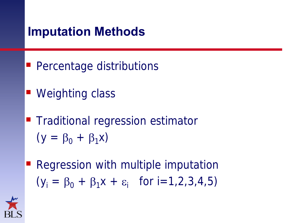## **Imputation Methods**

- **Percentage distributions**
- Weighting class
- **Traditional regression estimator**  $(y = \beta_0 + \beta_1x)$
- **Regression with multiple imputation**  $(y_i = \beta_0 + \beta_1 x + \varepsilon_i$  for  $i = 1, 2, 3, 4, 5)$

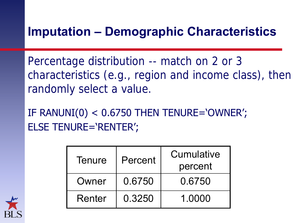## **Imputation – Demographic Characteristics**

Percentage distribution -- match on 2 or 3 characteristics (e.g., region and income class), then randomly select a value.

IF RANUNI $(0)$  < 0.6750 THEN TENURE='OWNER'; ELSE TENURE='RENTER';

| <b>Tenure</b> | Percent | Cumulative<br>percent |
|---------------|---------|-----------------------|
| Owner         | 0.6750  | 0.6750                |
| Renter        | 0.3250  | 1.0000                |

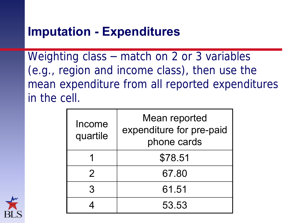## **Imputation - Expenditures**

Weighting class – match on 2 or 3 variables (e.g., region and income class), then use the mean expenditure from all reported expenditures in the cell.

| Income<br>quartile | Mean reported<br>expenditure for pre-paid<br>phone cards |  |
|--------------------|----------------------------------------------------------|--|
|                    | \$78.51                                                  |  |
| $\mathcal{P}$      | 67.80                                                    |  |
|                    | 61.51                                                    |  |
|                    | 53.53                                                    |  |

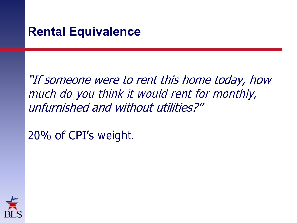#### **Rental Equivalence**

## "If someone were to rent this home today, how much do you think it would rent for monthly, unfurnished and without utilities?"

20% of CPI's weight.

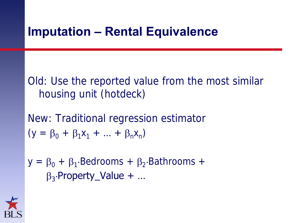## **Imputation – Rental Equivalence**

Old: Use the reported value from the most similar housing unit (hotdeck)

New: Traditional regression estimator  $(y = \beta_0 + \beta_1 x_1 + ... + \beta_n x_n)$ 

 $y = \beta_0 + \beta_1$ . Bedrooms +  $\beta_2$ . Bathrooms +  $\beta_3$ Property\_Value + ...

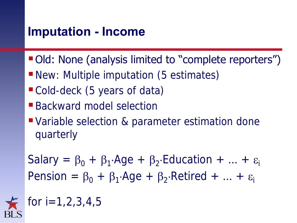## **Imputation - Income**

- Old: None (analysis limited to "complete reporters")
- **New: Multiple imputation (5 estimates)**
- Cold-deck (5 years of data)
- Backward model selection
- Variable selection & parameter estimation done quarterly

Salary =  $\beta_0$  +  $\beta_1$ . Age +  $\beta_2$ . Education + ... +  $\varepsilon_i$ Pension =  $\beta_0$  +  $\beta_1$ ·Age +  $\beta_2$ ·Retired + ... +  $\varepsilon_i$ 

for i=1,2,3,4,5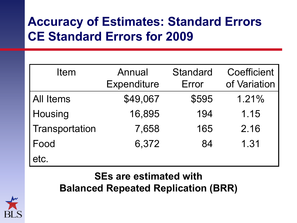# **Accuracy of Estimates: Standard Errors CE Standard Errors for 2009**

| Item             | Annual<br><b>Expenditure</b> | <b>Standard</b><br>Error | Coefficient<br>of Variation |
|------------------|------------------------------|--------------------------|-----------------------------|
| <b>All Items</b> | \$49,067                     | \$595                    | 1.21%                       |
| Housing          | 16,895                       | 194                      | 1.15                        |
| Transportation   | 7,658                        | 165                      | 2.16                        |
| Food             | 6,372                        | 84                       | 1.31                        |
| etc.             |                              |                          |                             |

#### **SEs are estimated with Balanced Repeated Replication (BRR)**

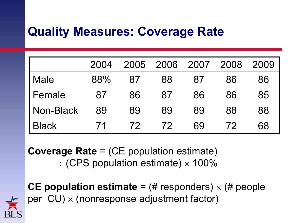## **Quality Measures: Coverage Rate**

|                  | 2004 | 2005 |    | 2006 2007 2008 |    | 2009 |
|------------------|------|------|----|----------------|----|------|
| <b>Male</b>      | 88%  | 87   | 88 | 87             | 86 | 86   |
| l Female         | 87   | 86   | 87 | 86             | 86 | 85   |
| <b>Non-Black</b> | 89   | 89   | 89 | 89             | 88 | 88   |
| <b>Black</b>     |      | 72   | 72 | 69             | 72 | 68   |

**Coverage Rate** = (CE population estimate)  $\div$  (CPS population estimate)  $\times$  100%

**CE population estimate** =  $(\#$  responders)  $\times$   $(\#$  people per  $CU$ )  $\times$  (nonresponse adjustment factor)